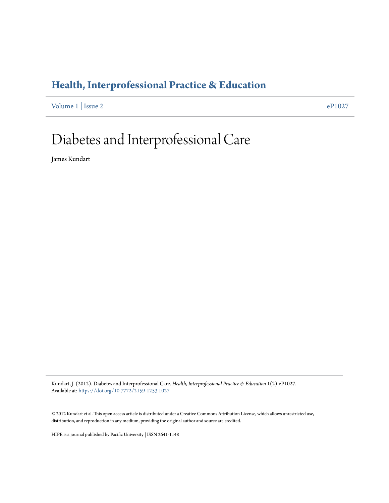### **[Health, Interprofessional Practice & Education](https://commons.pacificu.edu/hip)**

[Volume 1](https://commons.pacificu.edu/hip/vol1) | [Issue 2](https://commons.pacificu.edu/hip/vol1/iss2) [eP1027](https://commons.pacificu.edu/hip/vol1/iss2/1)

## Diabetes and Interprofessional Care

James Kundart

Kundart, J. (2012). Diabetes and Interprofessional Care. *Health, Interprofessional Practice & Education* 1(2):eP1027. Available at: <https://doi.org/10.7772/2159-1253.1027>

© 2012 Kundart et al. This open access article is distributed under a Creative Commons Attribution License, which allows unrestricted use, distribution, and reproduction in any medium, providing the original author and source are credited.

HIPE is a journal published by Pacific University | ISSN 2641-1148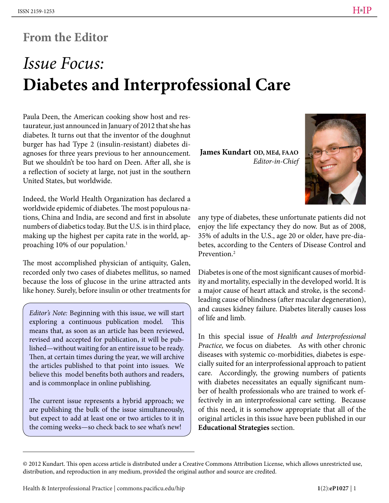## **From the Editor**

# *Issue Focus:* **Diabetes and Interprofessional Care**

Paula Deen, the American cooking show host and restaurateur, just announced in January of 2012 that she has diabetes. It turns out that the inventor of the doughnut burger has had Type 2 (insulin-resistant) diabetes diagnoses for three years previous to her announcement. But we shouldn't be too hard on Deen. After all, she is a reflection of society at large, not just in the southern United States, but worldwide.

Indeed, the World Health Organization has declared a worldwide epidemic of diabetes. The most populous nations, China and India, are second and first in absolute numbers of diabetics today. But the U.S. is in third place, making up the highest per capita rate in the world, approaching 10% of our population.1

The most accomplished physician of antiquity, Galen, recorded only two cases of diabetes mellitus, so named because the loss of glucose in the urine attracted ants like honey. Surely, before insulin or other treatments for

*Editor's Note:* Beginning with this issue, we will start exploring a continuous publication model. This means that, as soon as an article has been reviewed, revised and accepted for publication, it will be published—without waiting for an entire issue to be ready. Then, at certain times during the year, we will archive the articles published to that point into issues. We believe this model benefits both authors and readers, and is commonplace in online publishing.

The current issue represents a hybrid approach; we are publishing the bulk of the issue simultaneously, but expect to add at least one or two articles to it in the coming weeks—so check back to see what's new!

**James Kundart OD, MEd, FAAO** *Editor-in-Chief*



any type of diabetes, these unfortunate patients did not enjoy the life expectancy they do now. But as of 2008, 35% of adults in the U.S., age 20 or older, have pre-diabetes, according to the Centers of Disease Control and Prevention.2

Diabetes is one of the most significant causes of morbidity and mortality, especially in the developed world. It is a major cause of heart attack and stroke, is the secondleading cause of blindness (after macular degeneration), and causes kidney failure. Diabetes literally causes loss of life and limb.

In this special issue of *Health and Interprofessional Practice,* we focus on diabetes. As with other chronic diseases with systemic co-morbidities, diabetes is especially suited for an interprofessional approach to patient care. Accordingly, the growing numbers of patients with diabetes necessitates an equally significant number of health professionals who are trained to work effectively in an interprofessional care setting. Because of this need, it is somehow appropriate that all of the original articles in this issue have been published in our **Educational Strategies** section.

<sup>© 2012</sup> Kundart. This open access article is distributed under a Creative Commons Attribution License, which allows unrestricted use, distribution, and reproduction in any medium, provided the original author and source are credited.